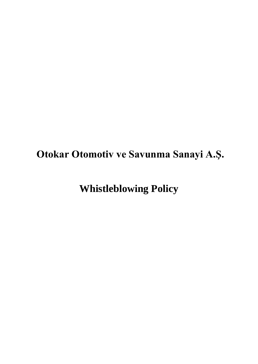**Otokar Otomotiv ve Savunma Sanayi A.Ş.**

**Whistleblowing Policy**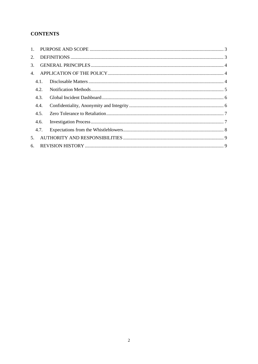# **CONTENTS**

| $1_{-}$ |      |  |  |  |  |
|---------|------|--|--|--|--|
| 2.      |      |  |  |  |  |
| 3.      |      |  |  |  |  |
| 4.      |      |  |  |  |  |
|         | 4.1. |  |  |  |  |
|         | 4.2. |  |  |  |  |
|         | 4.3. |  |  |  |  |
|         | 4.4. |  |  |  |  |
|         | 4.5. |  |  |  |  |
|         | 4.6. |  |  |  |  |
|         | 4.7. |  |  |  |  |
| 5.      |      |  |  |  |  |
|         | 6.   |  |  |  |  |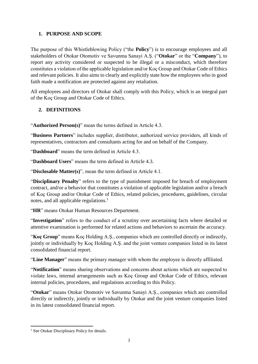## <span id="page-2-0"></span>**1. PURPOSE AND SCOPE**

The purpose of this Whistleblowing Policy ("the **Policy**") is to encourage employees and all stakeholders of Otokar Otomotiv ve Savunma Sanayi A.Ş. ("**Otokar**" or the "**Company**"), to report any activity considered or suspected to be illegal or a misconduct, which therefore constitutes a violation of the applicable legislation and/or Koç Group and Otokar Code of Ethics and relevant policies. It also aims to clearly and explicitly state how the employees who in good faith made a notification are protected against any retaliation.

All employees and directors of Otokar shall comply with this Policy, which is an integral part of the Koç Group and Otokar Code of Ethics.

#### <span id="page-2-1"></span>**2. DEFINITIONS**

"**Authorized Person(s)**" mean the terms defined in Article 4.3.

"**Business Partners**" includes supplier, distributor, authorized service providers, all kinds of representatives, contractors and consultants acting for and on behalf of the Company.

"**Dashboard**" means the term defined in Article 4.3.

"**Dashboard Users**" means the term defined in Article 4.3.

"**Disclosable Matter(s)**", mean the term defined in Article 4.1.

"**Disciplinary Penalty**" refers to the type of punishment imposed for breach of employment contract, and/or a behavior that constitutes a violation of applicable legislation and/or a breach of Koç Group and/or Otokar Code of Ethics, related policies, procedures, guidelines, circular notes, and all applicable regulations.<sup>1</sup>

"**HR**" means Otokar Human Resources Department.

"**Investigation**" refers to the conduct of a scrutiny over ascertaining facts where detailed or attentive examination is performed for related actions and behaviors to ascertain the accuracy.

"**Koç Group**" means Koç Holding A.Ş., companies which are controlled directly or indirectly, jointly or individually by Koç Holding A.Ş. and the joint venture companies listed in its latest consolidated financial report.

"**Line Manager**" means the primary manager with whom the employee is directly affiliated.

"**Notification**" means sharing observations and concerns about actions which are suspected to violate laws, internal arrangements such as Koç Group and Otokar Code of Ethics, relevant internal policies, procedures, and regulations according to this Policy.

"**Otokar**" means Otokar Otomotiv ve Savunma Sanayi A.Ş., companies which are controlled directly or indirectly, jointly or individually by Otokar and the joint venture companies listed in its latest consolidated financial report.

1

<sup>&</sup>lt;sup>1</sup> See Otokar Disciplinary Policy for details.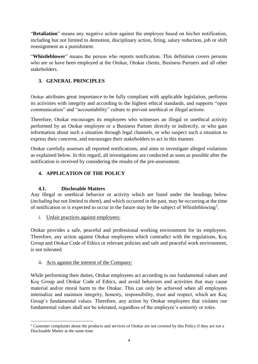"**Retaliation**" means any negative action against the employee based on his/her notification, including but not limited to demotion, disciplinary action, firing, salary reduction, job or shift reassignment as a punishment.

"**Whistleblower**" means the person who reports notification. This definition covers persons who are or have been employed at the Otokar, Otokar clients, Business Partners and all other stakeholders.

# <span id="page-3-0"></span>**3. GENERAL PRINCIPLES**

Otokar attributes great importance to be fully compliant with applicable legislation, performs its activities with integrity and according to the highest ethical standards, and supports "open communication" and "accountability" culture to prevent unethical or illegal actions.

Therefore, Otokar encourages its employees who witnesses an illegal or unethical activity performed by an Otokar employee or a Business Partner directly or indirectly, or who gain information about such a situation through legal channels, or who suspect such a situation to express their concerns, and encourages their stakeholders to act in this manner.

Otokar carefully assesses all reported notifications, and aims to investigate alleged violations as explained below. In this regard, all investigations are conducted as soon as possible after the notification is received by considering the results of the pre-assessment.

## <span id="page-3-1"></span>**4. APPLICATION OF THE POLICY**

## **4.1. Disclosable Matters**

<span id="page-3-2"></span>Any illegal or unethical behavior or activity which are listed under the headings below (*including but not limited to them*), and which occurred in the past, may be occurring at the time of notification or is expected to occur in the future may be the subject of Whistleblowing<sup>2</sup>.

i. Unfair practices against employees:

Otokar provides a safe, peaceful and professional working environment for its employees. Therefore, any action against Otokar employees which contradict with the regulations, Koç Group and Otokar Code of Ethics or relevant policies and safe and peaceful work environment, is not tolerated.

#### ii. Acts against the interest of the Company:

While performing their duties, Otokar employees act according to our fundamental values and Koç Group and Otokar Code of Ethics, and avoid behaviors and activities that may cause material and/or moral harm to the Otokar. This can only be achieved when all employees internalize and maintain integrity, honesty, responsibility, trust and respect, which are Koç Group's fundamental values. Therefore, any action by Otokar employees that violates our fundamental values shall not be tolerated, regardless of the employee's seniority or roles.

 $\overline{a}$ <sup>2</sup> Customer complaints about the products and services of Otokar are not covered by this Policy if they are not a Disclosable Matter at the same time.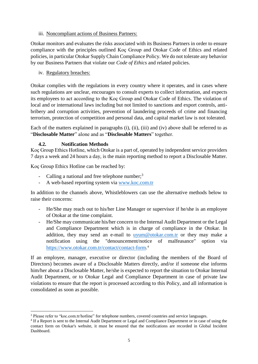#### iii. Noncompliant actions of Business Partners:

Otokar monitors and evaluates the risks associated with its Business Partners in order to ensure compliance with the principles outlined Koç Group and Otokar Code of Ethics and related policies, in particular Otokar Supply Chain Compliance Policy. We do not tolerate any behavior by our Business Partners that violate our *Code of Ethics* and related policies.

iv. Regulatory breaches:

Otokar complies with the regulations in every country where it operates, and in cases where such regulations are unclear, encourages to consult experts to collect information, and expects its employees to act according to the Koç Group and Otokar Code of Ethics. The violation of local and or international laws including but not limited to sanctions and export controls, antibribery and corruption activities, prevention of laundering proceeds of crime and financing terrorism, protection of competition and personal data, and capital market law is not tolerated.

Each of the matters explained in paragraphs (i), (ii), (iii) and (iv) above shall be referred to as "**Disclosable Matter**" alone and as "**Disclosable Matters**" together.

## **4.2. Notification Methods**

<span id="page-4-0"></span>Koç Group Ethics Hotline, which Otokar is a part of, operated by independent service providers 7 days a week and 24 hours a day, is the main reporting method to report a Disclosable Matter.

Koç Group Ethics Hotline can be reached by:

- Calling a national and free telephone number; $3$
- A web-based reporting system via [www.koc.com.tr](https://secure.ethicspoint.eu/domain/media/en/gui/108227/index.html)

In addition to the channels above, Whistleblowers can use the alternative methods below to raise their concerns:

- He/She may reach out to his/her Line Manager or supervisor if he/she is an employee of Otokar at the time complaint.
- He/She may communicate his/her concern to the Internal Audit Department or the Legal and Compliance Department which is in charge of compliance in the Otokar. In addition, they may send an e-mail to <uyum@otokar.com.tr> or they may make a notification using the "denouncement/notice of malfeasance" option via [https://www.otokar.com.tr/contact/contact-form.](https://www.otokar.com.tr/contact/contact-form) 4

If an employee, manager, executive or director (including the members of the Board of Directors) becomes aware of a Disclosable Matters directly, and/or if someone else informs him/her about a Disclosable Matter, he/she is expected to report the situation to Otokar Internal Audit Department, or to Otokar Legal and Compliance Department in case of private law violations to ensure that the report is processed according to this Policy, and all information is consolidated as soon as possible.

**<sup>.</sup>** <sup>3</sup> Please refer to "koc.com.tr/hotline" for telephone numbers, covered countries and service languages.

<sup>4</sup> If a Report is sent to the Internal Audit Department or Legal and Compliance Department or in case of using the contact form on Otokar's website, it must be ensured that the notifications are recorded in Global Incident Dashboard.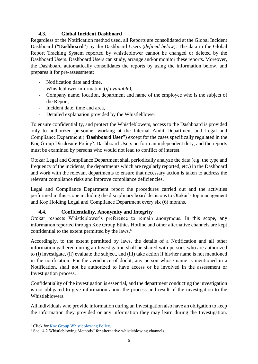## **4.3. Global Incident Dashboard**

<span id="page-5-0"></span>Regardless of the Notification method used, all Reports are consolidated at the Global Incident Dashboard ("**Dashboard**") by the Dashboard Users (*defined below*). The data in the Global Report Tracking System reported by whistleblower cannot be changed or deleted by the Dashboard Users. Dashboard Users can study, arrange and/or monitor these reports. Moreover, the Dashboard automatically consolidates the reports by using the information below, and prepares it for pre-assessment:

- Notification date and time,
- Whistleblower information (*if available)*,
- Company name, location, department and name of the employee who is the subject of the Report,
- Incident date, time and area,
- Detailed explanation provided by the Whistleblower.

To ensure confidentiality, and protect the Whistleblowers, access to the Dashboard is provided only to authorized personnel working at the Internal Audit Department and Legal and Compliance Department ("**Dashboard User**") except for the cases specifically regulated in the Koç Group Disclosure Policy<sup>5</sup>. Dashboard Users perform an independent duty, and the reports must be examined by persons who would not lead to conflict of interest.

Otokar Legal and Compliance Department shall periodically analyze the data (e.g. the type and frequency of the incidents, the departments which are regularly reported, etc.) in the Dashboard and work with the relevant departments to ensure that necessary action is taken to address the relevant compliance risks and improve compliance deficiencies.

Legal and Compliance Department report the procedures carried out and the activities performed in this scope including the disciplinary board decisions to Otokar's top management and Koç Holding Legal and Compliance Department every six (6) months.

## **4.4. Confidentiality, Anonymity and Integrity**

<span id="page-5-1"></span>Otokar respects Whistleblower's preference to remain anonymous. In this scope, any information reported through Koç Group Ethics Hotline and other alternative channels are kept confidential to the extent permitted by the laws.<sup>6</sup>

Accordingly, to the extent permitted by laws, the details of a Notification and all other information gathered during an Investigation shall be shared with persons who are authorized to (i) investigate, (ii) evaluate the subject, and (iii) take action if his/her name is not mentioned in the notification. For the avoidance of doubt, any person whose name is mentioned in a Notification, shall not be authorized to have access or be involved in the assessment or Investigation process.

Confidentiality of the investigation is essential, and the department conducting the investigation is not obligated to give information about the process and result of the investigation to the Whistleblowers.

All individuals who provide information during an Investigation also have an obligation to keep the information they provided or any information they may learn during the Investigation.

 $\overline{a}$ 

<sup>&</sup>lt;sup>5</sup> Click for **Koç Group Whistleblowing Policy**.

<sup>&</sup>lt;sup>6</sup> See "4.2 Whistleblowing Methods" for alternative whistleblowing channels.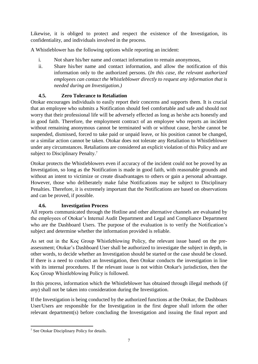Likewise, it is obliged to protect and respect the existence of the Investigation, its confidentiality, and individuals involved in the process.

A Whistleblower has the following options while reporting an incident:

- i. Not share his/her name and contact information to remain anonymous,
- ii. Share his/her name and contact information, and allow the notification of this information only to the authorized persons. (*In this case, the relevant authorized employees can contact the Whistleblower directly to request any information that is needed during an Investigation.)*

## **4.5. Zero Tolerance to Retaliation**

<span id="page-6-0"></span>Otokar encourages individuals to easily report their concerns and supports them. It is crucial that an employee who submits a Notification should feel comfortable and safe and should not worry that their professional life will be adversely effected as long as he/she acts honestly and in good faith. Therefore, the employment contract of an employee who reports an incident without remaining anonymous cannot be terminated with or without cause, he/she cannot be suspended, dismissed, forced to take paid or unpaid leave, or his position cannot be changed, or a similar action cannot be taken. Otokar does not tolerate any Retaliation to Whistleblower under any circumstances. Retaliations are considered an explicit violation of this Policy and are subject to Disciplinary Penalty.<sup>7</sup>

Otokar protects the Whistleblowers even if accuracy of the incident could not be proved by an Investigation, so long as the Notification is made in good faith, with reasonable grounds and without an intent to victimize or create disadvantages to others or gain a personal advantage. However, those who deliberately make false Notifications may be subject to Disciplinary Penalties. Therefore, it is extremely important that the Notifications are based on observations and can be proved, if possible.

# **4.6. Investigation Process**

<span id="page-6-1"></span>All reports communicated through the Hotline and other alternative channels are evaluated by the employees of Otokar's Internal Audit Department and Legal and Compliance Department who are the Dashboard Users. The purpose of the evaluation is to verify the Notification's subject and determine whether the information provided is reliable.

As set out in the Koç Group Whistleblowing Policy, the relevant issue based on the preassessment; Otokar's Dashboard User shall be authorized to investigate the subject in depth, in other words, to decide whether an Investigation should be started or the case should be closed. If there is a need to conduct an Investigation, then Otokar conducts the investigation in line with its internal procedures. If the relevant issue is not within Otokar's jurisdiction, then the Koç Group Whistleblowing Policy is followed.

In this process, information which the Whistleblower has obtained through illegal methods (*if any*) shall not be taken into consideration during the Investigation.

If the Investigation is being conducted by the authorized functions at the Otokar, the Dashboars User/Users are responsible for the Investigation in the first degree shall inform the other relevant department(s) before concluding the Investigation and issuing the final report and

<sup>1</sup> <sup>7</sup> See Otokar Disciplinary Policy for details.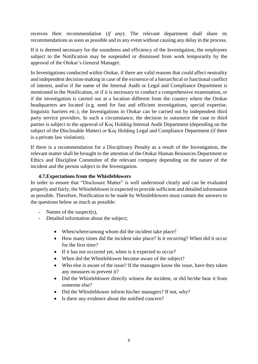receives their recommendation (*if any*). The relevant department shall share its recommendations as soon as possible and in any event without causing any delay in the process.

If it is deemed necessary for the soundness and efficiency of the Investigation, the employees subject to the Notification may be suspended or dismissed from work temporarily by the approval of the Otokar's General Manager.

In Investigations conducted within Otokar, if there are valid reasons that could affect neutrality and independent decision-making in case of the existence of a hierarchical or functional conflict of interest, and/or if the name of the Internal Audit or Legal and Compliance Department is mentioned in the Notification, or if it is necessary to conduct a comprehensive examination, or if the investigation is carried out at a location different from the country where the Otokar headquarters are located (e.g. need for fast and efficient investigations, special expertise, linguistic barriers etc.), the Investigations in Otokar can be carried out by independent third party service providers. In such a circumstance, the decision to outsource the case to third parties is subject to the approval of Koç Holding Internal Audit Department (depending on the subject of the Disclosable Matter) or Koç Holding Legal and Compliance Department (if there is a private law violation).

If there is a recommendation for a Disciplinary Penalty as a result of the Investigation, the relevant matter shall be brought to the attention of the Otokar Human Resources Department or Ethics and Discipline Committee of the relevant company depending on the nature of the incident and the person subject to the Investigation.

#### **4.7.Expectations from the Whistleblowers**

<span id="page-7-0"></span>In order to ensure that "Disclosure Matter" is well understood clearly and can be evaluated properly and fairly, the Whistleblower is expected to provide sufficient and detailed information as possible. Therefore, Notification to be made by Whistleblowers must contain the answers to the questions below as much as possible:

- Names of the suspect(s),
- Detailed information about the subject;
	- When/where/among whom did the incident take place?
	- How many times did the incident take place? Is it recurring? When did it occur for the first time?
	- If it has not occurred yet, when is it expected to occur?
	- When did the Whistleblower become aware of the subject?
	- Who else is aware of the issue? If the managers know the issue, have they taken any measures to prevent it?
	- Did the Whistleblower directly witness the incident, or did he/she hear it from someone else?
	- Did the Whistleblower inform his/her managers? If not, why?
	- Is there any evidence about the notified concern?